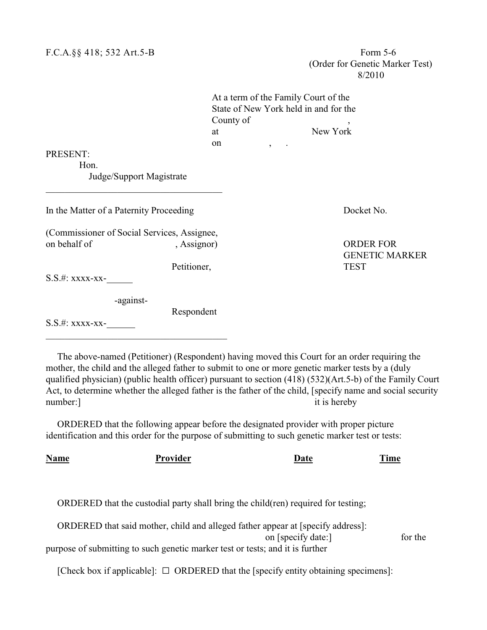|                                                             |             | At a term of the Family Court of the<br>State of New York held in and for the<br>County of |                                           |  |
|-------------------------------------------------------------|-------------|--------------------------------------------------------------------------------------------|-------------------------------------------|--|
|                                                             | at          |                                                                                            | New York                                  |  |
|                                                             | on          | $\overline{\phantom{a}}$                                                                   |                                           |  |
| PRESENT:                                                    |             |                                                                                            |                                           |  |
| Hon.                                                        |             |                                                                                            |                                           |  |
| Judge/Support Magistrate                                    |             |                                                                                            |                                           |  |
| In the Matter of a Paternity Proceeding                     |             |                                                                                            | Docket No.                                |  |
| (Commissioner of Social Services, Assignee,<br>on behalf of | , Assignor) |                                                                                            | <b>ORDER FOR</b><br><b>GENETIC MARKER</b> |  |
| S.S.#: xxxx-xx-                                             | Petitioner, |                                                                                            | <b>TEST</b>                               |  |
| -against-<br>S.S.#: xxxx-xx-                                | Respondent  |                                                                                            |                                           |  |
|                                                             |             |                                                                                            |                                           |  |

The above-named (Petitioner) (Respondent) having moved this Court for an order requiring the mother, the child and the alleged father to submit to one or more genetic marker tests by a (duly qualified physician) (public health officer) pursuant to section (418) (532)(Art.5-b) of the Family Court Act, to determine whether the alleged father is the father of the child, [specify name and social security number: 1 it is hereby

ORDERED that the following appear before the designated provider with proper picture identification and this order for the purpose of submitting to such genetic marker test or tests:

| Name | Provider                                                                      | Date                                                                               | Time    |  |
|------|-------------------------------------------------------------------------------|------------------------------------------------------------------------------------|---------|--|
|      |                                                                               |                                                                                    |         |  |
|      |                                                                               | ORDERED that the custodial party shall bring the child (ren) required for testing; |         |  |
|      |                                                                               | ORDERED that said mother, child and alleged father appear at [specify address]:    |         |  |
|      |                                                                               | on [specify date:]                                                                 | for the |  |
|      | purpose of submitting to such genetic marker test or tests; and it is further |                                                                                    |         |  |

[Check box if applicable]:  $\Box$  ORDERED that the [specify entity obtaining specimens]: